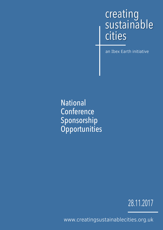### creating sustainable cities

an Ibex Earth initiative

National **Conference** Sponsorship **Opportunities** 

28.11.2017

www.creatingsustainablecities.org.uk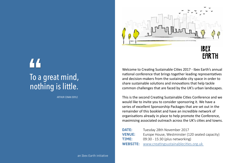# To a great mind, " nothing is little.

ARTHUR CONAN DOYLE



Welcome to Creating Sustainable Cities 2017 - Ibex Earth's annual national conference that brings together leading representatives and decision-makers from the sustainable city space in order to share sustainable solutions and innovations that help tackle common challenges that are faced by the UK's urban landscapes.

IBEX **EARTH** 

mber 2017 stminster (120 seated capacity) networking) **WEBS**<br>inablecities.org.uk

This is the second Creating Sustainable Cities Conference and we would like to invite you to consider sponsoring it. We have a series of excellent Sponsorship Packages that are set out in the remainder of this booklet and have an incredible network of organisations already in place to help promote the Conference, maximising associated outreach across the UK's cities and towns.

| <b>DATE:</b>    | Tuesday 28th Nover   |
|-----------------|----------------------|
| <b>VENUE:</b>   | Europe House, Wes    |
| TIME:           | 09:30 - 15:30 (plus) |
| <b>WEBSITE:</b> | www.creatingsusta    |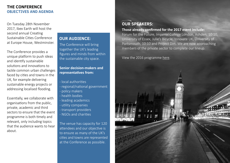#### **THE CONFERENCE OBJECTIVES AND AGENDA**

The Conference will bring together the UK's leading figures and minds from within the sustainable city space.

#### **Senior decision-makers and representatives from:**

- local authorities
- regional/national government
- policy makers
- health bodies
- leading academics
- utility companies
- transport providers
- NGOs and charities

The venue has capacity for 120 attendees and our objective is to ensure as many of the UK's cities and towns are represented at the Conference as possible.

#### **OUR AUDIENCE:**

### **OUR SPEAKERS:**

**Those already confirmed for the 2017 event include:** Forum for the Future, Imperial College London, Ashden, 10:10, University of Essex, Julie's Bicycle, Innovate UK, University of Portsmouth, 10:10 and Project Dirt. We are now approaching members of the private sector to complete our lineup.

View the 2016 programme [here.](https://www.creatingsustainablecities.org.uk/2016)



On Tuesday 28th November 2017, Ibex Earth will host the second annual Creating Sustainable Cities Conference at Europe House, Westminster.

The Conference provides a unique platform to push ideas and identify sustainable solutions and innovations to tackle common urban challenges faced by cities and towns in the UK, for example delivering sustainable energy projects or addressing localised flooding.

Essentially, we collaborate with organisations from the public, private, academic and third sectors to ensure that the event programme is both timely and relevant, only including topics that the audience wants to hear about.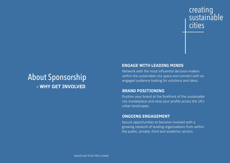## About Sponsorship  **- WHY GET INVOLVED**

## creating sustainable cities

#### **ENGAGE WITH LEADING MINDS**

Network with the most influential decision-makers within the sustainable city space and connect with an engaged audience looking for solutions and ideas.

#### **BRAND POSITIONING**

Position your brand at the forefront of the sustainable city marketplace and raise your profile across the UK's urban landscapes.

#### **ONGOING ENGAGEMENT**

Secure opportunities to become involved with a growing network of leading organisations from within the public, private, third and academic sectors.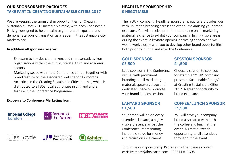We are keeping the sponsorship opportunities for Creating Sustainable Cities 2017 incredibly simple, with each Sponsorship Package designed to help maximise your brand exposure and demonstrate your organisation as a leader in the sustainable city marketplace.

#### **In addition all sponsors receive:**

- Exposure to key decision-makers and representatives from organisations within the public, private, third and academic sectors.
- Marketing space within the Conference venue, together with brand feature on the associated website for 12 months.
- An article in the Creating Sustainable Cities Journal, which is distributed to all 353 local authorities in England and a feature in the Conference Programme.

#### **Exposure to Conference Marketing from:**



Your brand will be on every attendees lanyard, a highly visible presence across the Conference, representing incredible value for money and return on investment.

The 'YOUR' company Headline Sponsorship package provides you with unlimited branding across the event - maximising your brand exposure. You will receive prominent branding on all marketing material, a chance to exhibit your company in highly visible areas during the event, a keynote opening or closing speech and we would work closely with you to develop other brand opportunities both prior to, during and after the Conference.

#### **HEADLINE SPONSORSHIP £ NEGOTIABLE**

#### **OUR SPONSORSHIP PACKAGES TAKE PART IN CREATING SUSTAINABLE CITIES 2017**

Lead sponsor in the Conference venue, with prominent branding on all marketing material, speakers stage and dedicated space to promote your brand in each session.

Choose a session to sponsor, for example 'YOUR' company presents 'Sustainable Energy' at Creating Sustainable Cities 2017. A great opportunity for brand exposure.

#### **SESSION SPONSOR £1,500**

#### **GOLD SPONSOR £3,500**

#### **LANYARD SPONSOR £1,500**

You will have your company brand associated with both the coffee and lunch at the event. A great outreach opportunity to all attendees throughout the event.

#### **COFFEE/LUNCH SPONSOR £1,500**

To discuss our Sponsorship Packages further please contact: chrislivemore@ibexearth.com | 07714 811608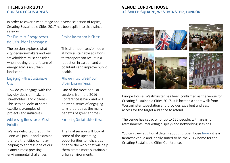#### **VENUE: EUROPE HOUSE 32 SMITH SQUARE, WESTMINSTER, LONDON**









Europe House, Westminster has been confirmed as the venue for Creating Sustainable Cities 2017. It is located a short walk from Westminster tubestation and provides excellent and easy access for the target audience to attend.

You can view additional details about Europe House [her](https://ec.europa.eu/unitedkingdom/sites/unitedkingdom/files/20160226_europe_house_events_rooms_set_ups.pdf)e - it is a fantastic venue and ideally suited to be the 2017 home for the Creating Sustainable Cities Conference.

The venue has capacity for up to 120 people, with areas for refreshments, marketing displays and networking sessions.

#### **THEMES FOR 2017 OUR SIX FOCUS AREAS**

In order to cover a wide range and diverse selection of topics, Creating Sustainable Cities 2017 has been split into six distinct sessions:

The session explores what city decision-makers and key stakeholders must consider when looking at the future of energy across an urban landscape.

This afternoon session looks at how sustainable solutions to transport can result in a reduction in carbon and air pollutants and improve public health.

#### The Future of Energy across the UK's Urban Landscapes:

#### Driving Innovation in Cities:

How do you engage with the key city-decision makers, stakeholders and citizens? This session looks at some excellent examples of projects and initiatives.

One of the most popular sessions from the 2016 Conference is back and will deliver a series of engaging talks that look at the many benefits of greener cities.

#### Engaging with a Sustainable City:

#### Why we must 'Green' our Urban Environments:

We are delighted that Emily Penn will join us and examine the role that cities can play in helping to address one of our planet's most pressing environmental challenges.

The final session will look at some of the upcoming opportunities to help cities finance the work that will help them create more sustainable urban environments.

#### Addressing the issue of Plastic Pollution:

#### Financing Sustainable Cities: